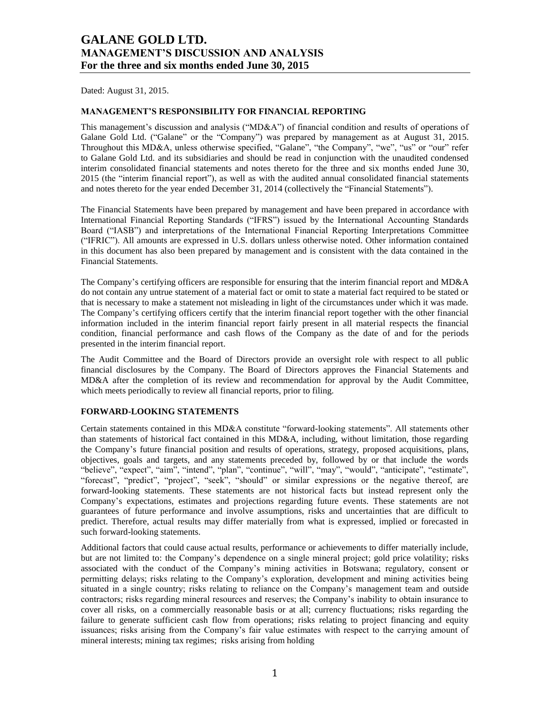Dated: August 31, 2015.

## **MANAGEMENT'S RESPONSIBILITY FOR FINANCIAL REPORTING**

This management's discussion and analysis ("MD&A") of financial condition and results of operations of Galane Gold Ltd. ("Galane" or the "Company") was prepared by management as at August 31, 2015. Throughout this MD&A, unless otherwise specified, "Galane", "the Company", "we", "us" or "our" refer to Galane Gold Ltd. and its subsidiaries and should be read in conjunction with the unaudited condensed interim consolidated financial statements and notes thereto for the three and six months ended June 30, 2015 (the "interim financial report"), as well as with the audited annual consolidated financial statements and notes thereto for the year ended December 31, 2014 (collectively the "Financial Statements").

The Financial Statements have been prepared by management and have been prepared in accordance with International Financial Reporting Standards ("IFRS") issued by the International Accounting Standards Board ("IASB") and interpretations of the International Financial Reporting Interpretations Committee ("IFRIC"). All amounts are expressed in U.S. dollars unless otherwise noted. Other information contained in this document has also been prepared by management and is consistent with the data contained in the Financial Statements.

The Company's certifying officers are responsible for ensuring that the interim financial report and MD&A do not contain any untrue statement of a material fact or omit to state a material fact required to be stated or that is necessary to make a statement not misleading in light of the circumstances under which it was made. The Company's certifying officers certify that the interim financial report together with the other financial information included in the interim financial report fairly present in all material respects the financial condition, financial performance and cash flows of the Company as the date of and for the periods presented in the interim financial report.

The Audit Committee and the Board of Directors provide an oversight role with respect to all public financial disclosures by the Company. The Board of Directors approves the Financial Statements and MD&A after the completion of its review and recommendation for approval by the Audit Committee, which meets periodically to review all financial reports, prior to filing.

## **FORWARD-LOOKING STATEMENTS**

Certain statements contained in this MD&A constitute "forward-looking statements". All statements other than statements of historical fact contained in this MD&A, including, without limitation, those regarding the Company's future financial position and results of operations, strategy, proposed acquisitions, plans, objectives, goals and targets, and any statements preceded by, followed by or that include the words "believe", "expect", "aim", "intend", "plan", "continue", "will", "may", "would", "anticipate", "estimate", "forecast", "predict", "project", "seek", "should" or similar expressions or the negative thereof, are forward-looking statements. These statements are not historical facts but instead represent only the Company's expectations, estimates and projections regarding future events. These statements are not guarantees of future performance and involve assumptions, risks and uncertainties that are difficult to predict. Therefore, actual results may differ materially from what is expressed, implied or forecasted in such forward-looking statements.

Additional factors that could cause actual results, performance or achievements to differ materially include, but are not limited to: the Company's dependence on a single mineral project; gold price volatility; risks associated with the conduct of the Company's mining activities in Botswana; regulatory, consent or permitting delays; risks relating to the Company's exploration, development and mining activities being situated in a single country; risks relating to reliance on the Company's management team and outside contractors; risks regarding mineral resources and reserves; the Company's inability to obtain insurance to cover all risks, on a commercially reasonable basis or at all; currency fluctuations; risks regarding the failure to generate sufficient cash flow from operations; risks relating to project financing and equity issuances; risks arising from the Company's fair value estimates with respect to the carrying amount of mineral interests; mining tax regimes; risks arising from holding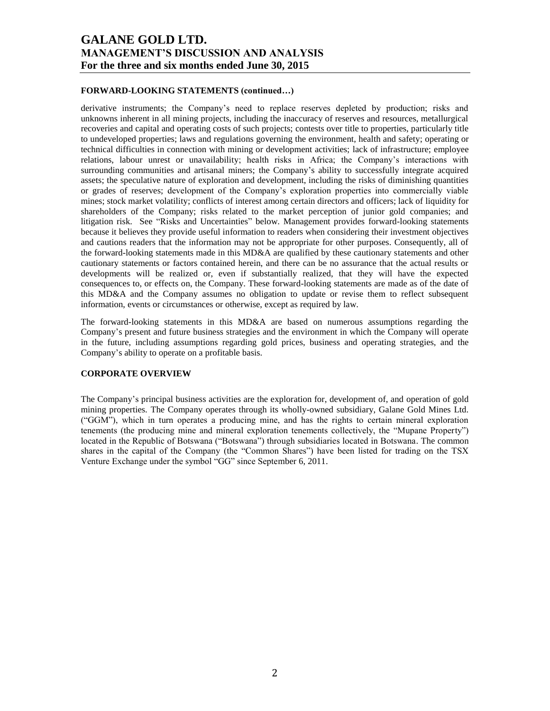## **FORWARD-LOOKING STATEMENTS (continued…)**

derivative instruments; the Company's need to replace reserves depleted by production; risks and unknowns inherent in all mining projects, including the inaccuracy of reserves and resources, metallurgical recoveries and capital and operating costs of such projects; contests over title to properties, particularly title to undeveloped properties; laws and regulations governing the environment, health and safety; operating or technical difficulties in connection with mining or development activities; lack of infrastructure; employee relations, labour unrest or unavailability; health risks in Africa; the Company's interactions with surrounding communities and artisanal miners; the Company's ability to successfully integrate acquired assets; the speculative nature of exploration and development, including the risks of diminishing quantities or grades of reserves; development of the Company's exploration properties into commercially viable mines; stock market volatility; conflicts of interest among certain directors and officers; lack of liquidity for shareholders of the Company; risks related to the market perception of junior gold companies; and litigation risk. See "Risks and Uncertainties" below. Management provides forward-looking statements because it believes they provide useful information to readers when considering their investment objectives and cautions readers that the information may not be appropriate for other purposes. Consequently, all of the forward-looking statements made in this MD&A are qualified by these cautionary statements and other cautionary statements or factors contained herein, and there can be no assurance that the actual results or developments will be realized or, even if substantially realized, that they will have the expected consequences to, or effects on, the Company. These forward-looking statements are made as of the date of this MD&A and the Company assumes no obligation to update or revise them to reflect subsequent information, events or circumstances or otherwise, except as required by law.

The forward-looking statements in this MD&A are based on numerous assumptions regarding the Company's present and future business strategies and the environment in which the Company will operate in the future, including assumptions regarding gold prices, business and operating strategies, and the Company's ability to operate on a profitable basis.

## **CORPORATE OVERVIEW**

The Company's principal business activities are the exploration for, development of, and operation of gold mining properties. The Company operates through its wholly-owned subsidiary, Galane Gold Mines Ltd. ("GGM"), which in turn operates a producing mine, and has the rights to certain mineral exploration tenements (the producing mine and mineral exploration tenements collectively, the "Mupane Property") located in the Republic of Botswana ("Botswana") through subsidiaries located in Botswana. The common shares in the capital of the Company (the "Common Shares") have been listed for trading on the TSX Venture Exchange under the symbol "GG" since September 6, 2011.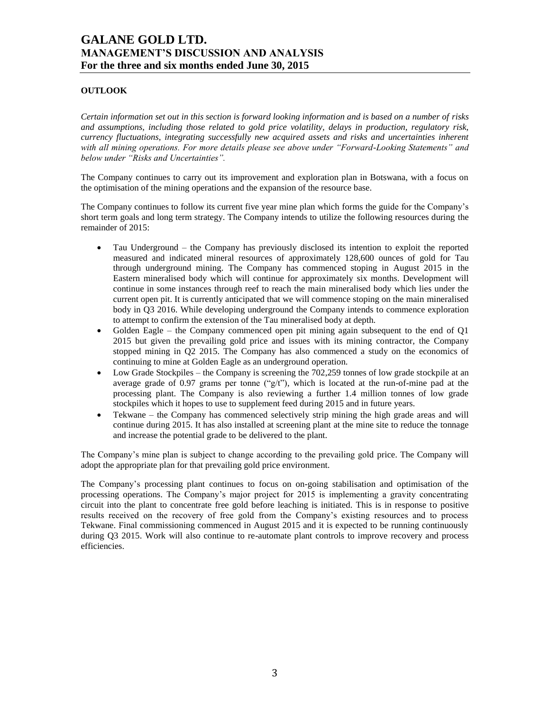## **OUTLOOK**

*Certain information set out in this section is forward looking information and is based on a number of risks and assumptions, including those related to gold price volatility, delays in production, regulatory risk, currency fluctuations, integrating successfully new acquired assets and risks and uncertainties inherent with all mining operations. For more details please see above under "Forward-Looking Statements" and below under "Risks and Uncertainties".*

The Company continues to carry out its improvement and exploration plan in Botswana, with a focus on the optimisation of the mining operations and the expansion of the resource base.

The Company continues to follow its current five year mine plan which forms the guide for the Company's short term goals and long term strategy. The Company intends to utilize the following resources during the remainder of 2015:

- Tau Underground the Company has previously disclosed its intention to exploit the reported measured and indicated mineral resources of approximately 128,600 ounces of gold for Tau through underground mining. The Company has commenced stoping in August 2015 in the Eastern mineralised body which will continue for approximately six months. Development will continue in some instances through reef to reach the main mineralised body which lies under the current open pit. It is currently anticipated that we will commence stoping on the main mineralised body in Q3 2016. While developing underground the Company intends to commence exploration to attempt to confirm the extension of the Tau mineralised body at depth.
- Golden Eagle the Company commenced open pit mining again subsequent to the end of Q1 2015 but given the prevailing gold price and issues with its mining contractor, the Company stopped mining in Q2 2015. The Company has also commenced a study on the economics of continuing to mine at Golden Eagle as an underground operation.
- Low Grade Stockpiles the Company is screening the 702,259 tonnes of low grade stockpile at an average grade of 0.97 grams per tonne (" $g/t$ "), which is located at the run-of-mine pad at the processing plant. The Company is also reviewing a further 1.4 million tonnes of low grade stockpiles which it hopes to use to supplement feed during 2015 and in future years.
- Tekwane the Company has commenced selectively strip mining the high grade areas and will continue during 2015. It has also installed at screening plant at the mine site to reduce the tonnage and increase the potential grade to be delivered to the plant.

The Company's mine plan is subject to change according to the prevailing gold price. The Company will adopt the appropriate plan for that prevailing gold price environment.

The Company's processing plant continues to focus on on-going stabilisation and optimisation of the processing operations. The Company's major project for 2015 is implementing a gravity concentrating circuit into the plant to concentrate free gold before leaching is initiated. This is in response to positive results received on the recovery of free gold from the Company's existing resources and to process Tekwane. Final commissioning commenced in August 2015 and it is expected to be running continuously during Q3 2015. Work will also continue to re-automate plant controls to improve recovery and process efficiencies.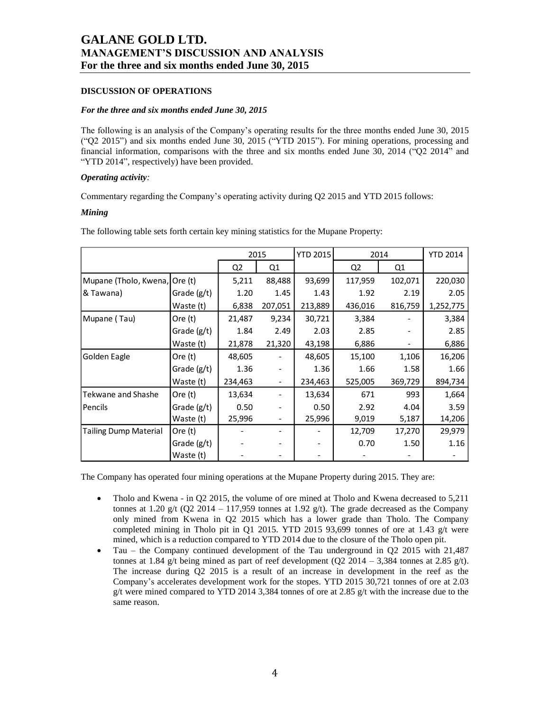## **DISCUSSION OF OPERATIONS**

### *For the three and six months ended June 30, 2015*

The following is an analysis of the Company's operating results for the three months ended June 30, 2015 ("Q2 2015") and six months ended June 30, 2015 ("YTD 2015"). For mining operations, processing and financial information, comparisons with the three and six months ended June 30, 2014 ("Q2 2014" and "YTD 2014", respectively) have been provided.

### *Operating activity:*

Commentary regarding the Company's operating activity during Q2 2015 and YTD 2015 follows:

## *Mining*

|                       |               |         | 2015                     | <b>YTD 2015</b> |                | 2014    | <b>YTD 2014</b> |
|-----------------------|---------------|---------|--------------------------|-----------------|----------------|---------|-----------------|
|                       |               | Q2      | Q1                       |                 | Q <sub>2</sub> | Q1      |                 |
| Mupane (Tholo, Kwena, | Ore $(t)$     | 5,211   | 88,488                   | 93,699          | 117,959        | 102,071 | 220,030         |
| & Tawana)             | Grade (g/t)   | 1.20    | 1.45                     | 1.43            | 1.92           | 2.19    | 2.05            |
|                       | Waste (t)     | 6,838   | 207,051                  | 213,889         | 436,016        | 816,759 | 1,252,775       |
| Mupane (Tau)          | Ore (t)       | 21,487  | 9,234                    | 30,721          | 3,384          |         | 3,384           |
|                       | Grade (g/t)   | 1.84    | 2.49                     | 2.03            | 2.85           |         | 2.85            |
|                       | Waste (t)     | 21,878  | 21,320                   | 43,198          | 6,886          |         | 6,886           |
| Golden Eagle          | Ore (t)       | 48,605  |                          | 48,605          | 15,100         | 1,106   | 16,206          |
|                       | Grade (g/t)   | 1.36    |                          | 1.36            | 1.66           | 1.58    | 1.66            |
|                       | Waste (t)     | 234,463 | $\overline{\phantom{a}}$ | 234,463         | 525,005        | 369,729 | 894,734         |
| Tekwane and Shashe    | Ore (t)       | 13,634  |                          | 13,634          | 671            | 993     | 1,664           |
| Pencils               | Grade $(g/t)$ | 0.50    |                          | 0.50            | 2.92           | 4.04    | 3.59            |
|                       | Waste (t)     | 25,996  |                          | 25,996          | 9,019          | 5,187   | 14,206          |
| Tailing Dump Material | Ore (t)       |         |                          |                 | 12,709         | 17,270  | 29,979          |
|                       | Grade (g/t)   |         |                          |                 | 0.70           | 1.50    | 1.16            |
|                       | Waste (t)     |         |                          |                 |                |         |                 |

The following table sets forth certain key mining statistics for the Mupane Property:

The Company has operated four mining operations at the Mupane Property during 2015. They are:

- Tholo and Kwena in Q2 2015, the volume of ore mined at Tholo and Kwena decreased to 5,211 tonnes at 1.20 g/t (Q2 2014 – 117,959 tonnes at 1.92 g/t). The grade decreased as the Company only mined from Kwena in Q2 2015 which has a lower grade than Tholo. The Company completed mining in Tholo pit in Q1 2015. YTD 2015 93,699 tonnes of ore at 1.43  $g/t$  were mined, which is a reduction compared to YTD 2014 due to the closure of the Tholo open pit.
- Tau the Company continued development of the Tau underground in Q2 2015 with 21,487 tonnes at 1.84 g/t being mined as part of reef development (Q2 2014 – 3,384 tonnes at 2.85 g/t). The increase during Q2 2015 is a result of an increase in development in the reef as the Company's accelerates development work for the stopes. YTD 2015 30,721 tonnes of ore at 2.03 g/t were mined compared to YTD 2014 3,384 tonnes of ore at 2.85 g/t with the increase due to the same reason.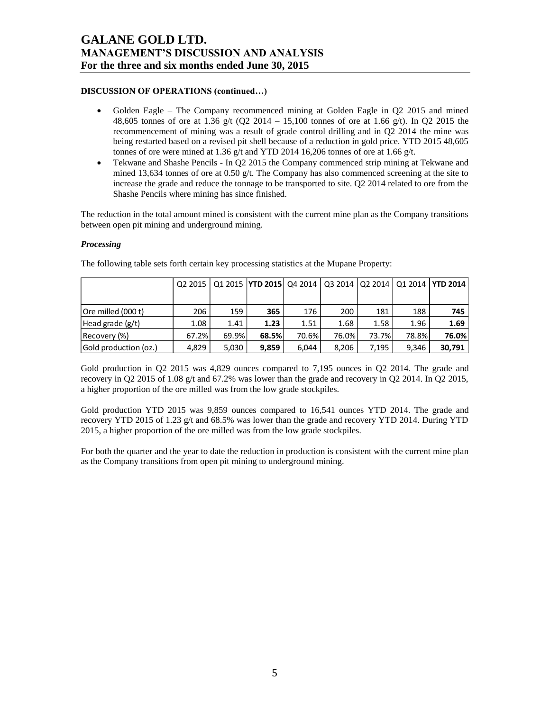## **DISCUSSION OF OPERATIONS (continued…)**

- Golden Eagle The Company recommenced mining at Golden Eagle in Q2 2015 and mined 48,605 tonnes of ore at 1.36 g/t (Q2 2014 – 15,100 tonnes of ore at 1.66 g/t). In Q2 2015 the recommencement of mining was a result of grade control drilling and in Q2 2014 the mine was being restarted based on a revised pit shell because of a reduction in gold price. YTD 2015 48,605 tonnes of ore were mined at 1.36 g/t and YTD 2014 16,206 tonnes of ore at 1.66 g/t.
- Tekwane and Shashe Pencils In Q2 2015 the Company commenced strip mining at Tekwane and mined 13,634 tonnes of ore at 0.50 g/t. The Company has also commenced screening at the site to increase the grade and reduce the tonnage to be transported to site. Q2 2014 related to ore from the Shashe Pencils where mining has since finished.

The reduction in the total amount mined is consistent with the current mine plan as the Company transitions between open pit mining and underground mining.

## *Processing*

|                       |       |       | Q2 2015   Q1 2015   YTD 2015   Q4 2014   Q3 2014   Q2 2014 |       |       |       |       | Q1 2014   YTD 2014 |
|-----------------------|-------|-------|------------------------------------------------------------|-------|-------|-------|-------|--------------------|
|                       |       |       |                                                            |       |       |       |       |                    |
| Ore milled (000 t)    | 206   | 159   | 365                                                        | 176   | 200   | 181   | 188   | 745                |
| Head grade $(g/t)$    | 1.08  | 1.41  | 1.23                                                       | 1.51  | 1.68  | 1.58  | 1.96  | 1.69               |
| Recovery (%)          | 67.2% | 69.9% | 68.5%                                                      | 70.6% | 76.0% | 73.7% | 78.8% | 76.0%              |
| Gold production (oz.) | 4,829 | 5,030 | 9,859                                                      | 6.044 | 8.206 | 7.195 | 9.346 | 30,791             |

The following table sets forth certain key processing statistics at the Mupane Property:

Gold production in Q2 2015 was 4,829 ounces compared to 7,195 ounces in Q2 2014. The grade and recovery in Q2 2015 of 1.08 g/t and 67.2% was lower than the grade and recovery in Q2 2014. In Q2 2015, a higher proportion of the ore milled was from the low grade stockpiles.

Gold production YTD 2015 was 9,859 ounces compared to 16,541 ounces YTD 2014. The grade and recovery YTD 2015 of 1.23 g/t and 68.5% was lower than the grade and recovery YTD 2014. During YTD 2015, a higher proportion of the ore milled was from the low grade stockpiles.

For both the quarter and the year to date the reduction in production is consistent with the current mine plan as the Company transitions from open pit mining to underground mining.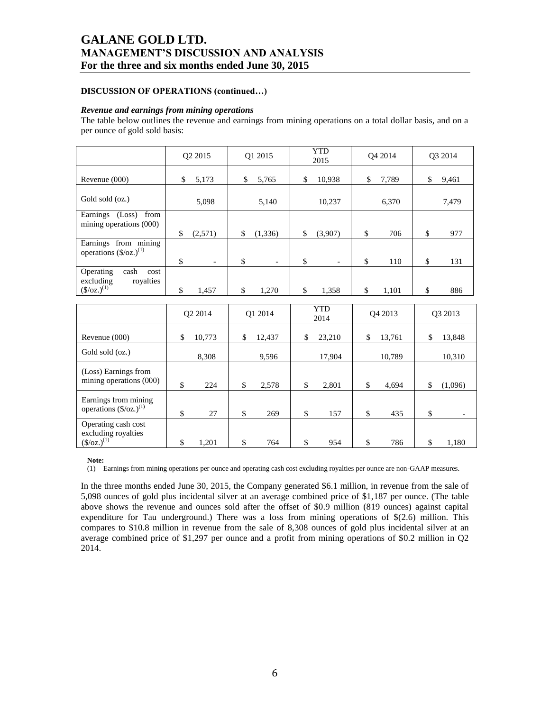## **DISCUSSION OF OPERATIONS (continued…)**

#### *Revenue and earnings from mining operations*

The table below outlines the revenue and earnings from mining operations on a total dollar basis, and on a per ounce of gold sold basis:

|                                                                                             |          | Q2 2015                           |          | Q1 2015                             |          | <b>YTD</b><br>2015                  |          | O <sub>4</sub> 2014 | Q3 2014          |
|---------------------------------------------------------------------------------------------|----------|-----------------------------------|----------|-------------------------------------|----------|-------------------------------------|----------|---------------------|------------------|
| Revenue (000)                                                                               | \$       | 5,173                             | \$       | 5,765                               | \$       | 10,938                              | \$       | 7,789               | \$<br>9,461      |
| Gold sold (oz.)                                                                             |          | 5,098                             |          | 5,140                               |          | 10,237                              |          | 6,370               | 7,479            |
| Earnings (Loss)<br>from<br>mining operations (000)                                          |          |                                   |          |                                     |          |                                     |          |                     | \$               |
| Earnings from mining<br>operations $(\frac{6}{2})^{(1)}$                                    | \$<br>\$ | (2,571)                           | \$<br>\$ | (1,336)<br>$\overline{\phantom{a}}$ | \$<br>\$ | (3,907)<br>$\overline{\phantom{a}}$ | \$<br>\$ | 706<br>110          | \$<br>977<br>131 |
| Operating<br>cash<br>cost<br>royalties<br>excluding<br>$(\frac{\csc(1)}{2})$ <sup>(1)</sup> | \$       | $\overline{\phantom{a}}$<br>1,457 | \$       | 1,270                               | \$       | 1,358                               | \$       | 1,101               | \$<br>886        |
|                                                                                             |          | O <sub>2</sub> 2014               |          | Q1 2014                             |          | <b>YTD</b><br>2014                  |          | O <sub>4</sub> 2013 | O3 2013          |
| Revenue (000)                                                                               | \$       | 10,773                            | \$       | 12,437                              | \$       | 23,210                              | \$       | 13,761              | \$<br>13,848     |
| Gold sold (oz.)                                                                             |          | 8,308                             |          | 9,596                               |          | 17,904                              |          | 10,789              | 10,310           |
| (Loss) Earnings from<br>mining operations (000)                                             | \$       | 224                               | \$       | 2,578                               | \$       | 2,801                               | \$       | 4,694               | \$<br>(1,096)    |
| Earnings from mining<br>operations $(\frac{5}{oz})^{(1)}$                                   | \$       | 27                                | \$       | 269                                 | \$       | 157                                 | \$       | 435                 | \$               |
| Operating cash cost<br>excluding royalties<br>$(\frac{\csc(1)}{2})^{(1)}$                   | \$       | 1,201                             | \$       | 764                                 | \$       | 954                                 | \$       | 786                 | \$<br>1,180      |

**Note:**

(1) Earnings from mining operations per ounce and operating cash cost excluding royalties per ounce are non-GAAP measures.

In the three months ended June 30, 2015, the Company generated \$6.1 million, in revenue from the sale of 5,098 ounces of gold plus incidental silver at an average combined price of \$1,187 per ounce. (The table above shows the revenue and ounces sold after the offset of \$0.9 million (819 ounces) against capital expenditure for Tau underground.) There was a loss from mining operations of \$(2.6) million. This compares to \$10.8 million in revenue from the sale of 8,308 ounces of gold plus incidental silver at an average combined price of \$1,297 per ounce and a profit from mining operations of \$0.2 million in Q2 2014.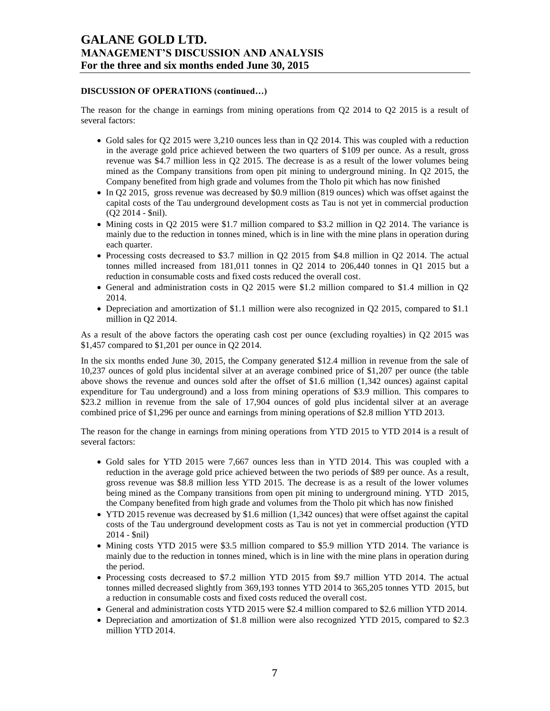## **DISCUSSION OF OPERATIONS (continued…)**

The reason for the change in earnings from mining operations from Q2 2014 to Q2 2015 is a result of several factors:

- Gold sales for Q2 2015 were 3,210 ounces less than in Q2 2014. This was coupled with a reduction in the average gold price achieved between the two quarters of \$109 per ounce. As a result, gross revenue was \$4.7 million less in Q2 2015. The decrease is as a result of the lower volumes being mined as the Company transitions from open pit mining to underground mining. In Q2 2015, the Company benefited from high grade and volumes from the Tholo pit which has now finished
- In Q2 2015, gross revenue was decreased by \$0.9 million (819 ounces) which was offset against the capital costs of the Tau underground development costs as Tau is not yet in commercial production (Q2 2014 - \$nil).
- $\bullet$  Mining costs in Q2 2015 were \$1.7 million compared to \$3.2 million in Q2 2014. The variance is mainly due to the reduction in tonnes mined, which is in line with the mine plans in operation during each quarter.
- Processing costs decreased to \$3.7 million in Q2 2015 from \$4.8 million in Q2 2014. The actual tonnes milled increased from 181,011 tonnes in Q2 2014 to 206,440 tonnes in Q1 2015 but a reduction in consumable costs and fixed costs reduced the overall cost.
- General and administration costs in Q2 2015 were \$1.2 million compared to \$1.4 million in Q2 2014.
- Depreciation and amortization of \$1.1 million were also recognized in Q2 2015, compared to \$1.1 million in Q2 2014.

As a result of the above factors the operating cash cost per ounce (excluding royalties) in Q2 2015 was \$1,457 compared to \$1,201 per ounce in Q2 2014.

In the six months ended June 30, 2015, the Company generated \$12.4 million in revenue from the sale of 10,237 ounces of gold plus incidental silver at an average combined price of \$1,207 per ounce (the table above shows the revenue and ounces sold after the offset of \$1.6 million (1,342 ounces) against capital expenditure for Tau underground) and a loss from mining operations of \$3.9 million. This compares to \$23.2 million in revenue from the sale of 17,904 ounces of gold plus incidental silver at an average combined price of \$1,296 per ounce and earnings from mining operations of \$2.8 million YTD 2013.

The reason for the change in earnings from mining operations from YTD 2015 to YTD 2014 is a result of several factors:

- Gold sales for YTD 2015 were 7,667 ounces less than in YTD 2014. This was coupled with a reduction in the average gold price achieved between the two periods of \$89 per ounce. As a result, gross revenue was \$8.8 million less YTD 2015. The decrease is as a result of the lower volumes being mined as the Company transitions from open pit mining to underground mining. YTD 2015, the Company benefited from high grade and volumes from the Tholo pit which has now finished
- YTD 2015 revenue was decreased by \$1.6 million (1,342 ounces) that were offset against the capital costs of the Tau underground development costs as Tau is not yet in commercial production (YTD 2014 - \$nil)
- Mining costs YTD 2015 were \$3.5 million compared to \$5.9 million YTD 2014. The variance is mainly due to the reduction in tonnes mined, which is in line with the mine plans in operation during the period.
- Processing costs decreased to \$7.2 million YTD 2015 from \$9.7 million YTD 2014. The actual tonnes milled decreased slightly from 369,193 tonnes YTD 2014 to 365,205 tonnes YTD 2015, but a reduction in consumable costs and fixed costs reduced the overall cost.
- General and administration costs YTD 2015 were \$2.4 million compared to \$2.6 million YTD 2014.
- Depreciation and amortization of \$1.8 million were also recognized YTD 2015, compared to \$2.3 million YTD 2014.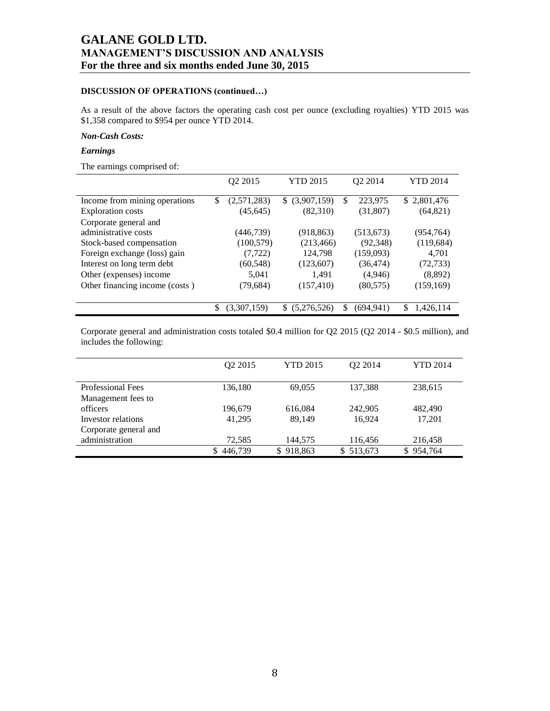## **DISCUSSION OF OPERATIONS (continued…)**

As a result of the above factors the operating cash cost per ounce (excluding royalties) YTD 2015 was \$1,358 compared to \$954 per ounce YTD 2014.

### *Non-Cash Costs:*

## *Earnings*

The earnings comprised of:

|                                | Q2 2015           | <b>YTD 2015</b>    | Q2 2014          | <b>YTD 2014</b> |
|--------------------------------|-------------------|--------------------|------------------|-----------------|
| Income from mining operations  | \$<br>(2,571,283) | (3,907,159)<br>S.  | \$<br>223,975    | \$2,801,476     |
| <b>Exploration costs</b>       | (45, 645)         | (82,310)           | (31,807)         | (64, 821)       |
| Corporate general and          |                   |                    |                  |                 |
| administrative costs           | (446,739)         | (918, 863)         | (513, 673)       | (954, 764)      |
| Stock-based compensation       | (100, 579)        | (213, 466)         | (92, 348)        | (119, 684)      |
| Foreign exchange (loss) gain   | (7, 722)          | 124,798            | (159,093)        | 4,701           |
| Interest on long term debt     | (60, 548)         | (123,607)          | (36, 474)        | (72, 733)       |
| Other (expenses) income        | 5.041             | 1.491              | (4,946)          | (8,892)         |
| Other financing income (costs) | (79, 684)         | (157, 410)         | (80, 575)        | (159, 169)      |
|                                |                   |                    |                  |                 |
|                                | \$<br>(3,307,159) | (5,276,526)<br>\$. | \$<br>(694, 941) | \$<br>1,426,114 |

Corporate general and administration costs totaled \$0.4 million for Q2 2015 (Q2 2014 - \$0.5 million), and includes the following:

|                          | O <sub>2</sub> 2015 | <b>YTD 2015</b> | O <sub>2</sub> 2014 | YTD 2014  |
|--------------------------|---------------------|-----------------|---------------------|-----------|
|                          |                     |                 |                     |           |
| <b>Professional Fees</b> | 136,180             | 69,055          | 137,388             | 238,615   |
| Management fees to       |                     |                 |                     |           |
| officers                 | 196,679             | 616,084         | 242,905             | 482,490   |
| Investor relations       | 41.295              | 89.149          | 16,924              | 17,201    |
| Corporate general and    |                     |                 |                     |           |
| administration           | 72,585              | 144,575         | 116,456             | 216,458   |
|                          | 446,739<br>\$.      | 918,863         | 513,673<br>S.       | \$954,764 |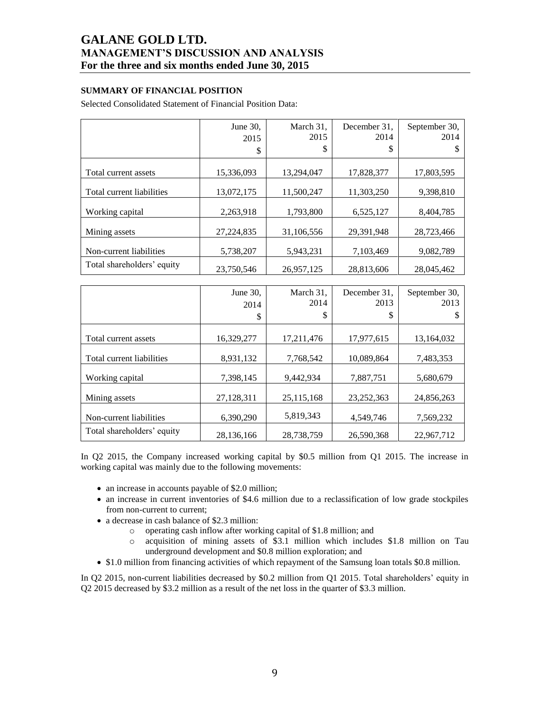## **SUMMARY OF FINANCIAL POSITION**

Selected Consolidated Statement of Financial Position Data:

|                            | June $30$ .<br>2015 | March 31,<br>2015 | December 31.<br>2014 | September 30,<br>2014 |
|----------------------------|---------------------|-------------------|----------------------|-----------------------|
|                            | \$                  | \$                | \$                   | S                     |
| Total current assets       | 15,336,093          | 13,294,047        | 17,828,377           | 17,803,595            |
| Total current liabilities  | 13,072,175          | 11,500,247        | 11,303,250           | 9,398,810             |
| Working capital            | 2,263,918           | 1,793,800         | 6,525,127            | 8,404,785             |
| Mining assets              | 27,224,835          | 31,106,556        | 29,391,948           | 28,723,466            |
| Non-current liabilities    | 5,738,207           | 5,943,231         | 7,103,469            | 9,082,789             |
| Total shareholders' equity | 23,750,546          | 26,957,125        | 28,813,606           | 28,045,462            |

|                            | June 30,<br>2014<br>\$ | March 31,<br>2014<br>\$ | December 31.<br>2013<br>\$ | September 30,<br>2013 |
|----------------------------|------------------------|-------------------------|----------------------------|-----------------------|
| Total current assets       | 16,329,277             | 17,211,476              | 17,977,615                 | 13,164,032            |
| Total current liabilities  | 8,931,132              | 7,768,542               | 10,089,864                 | 7,483,353             |
| Working capital            | 7,398,145              | 9,442,934               | 7,887,751                  | 5,680,679             |
| Mining assets              | 27,128,311             | 25,115,168              | 23, 252, 363               | 24,856,263            |
| Non-current liabilities    | 6,390,290              | 5,819,343               | 4,549,746                  | 7,569,232             |
| Total shareholders' equity | 28,136,166             | 28,738,759              | 26,590,368                 | 22,967,712            |

In Q2 2015, the Company increased working capital by \$0.5 million from Q1 2015. The increase in working capital was mainly due to the following movements:

- an increase in accounts payable of \$2.0 million;
- an increase in current inventories of \$4.6 million due to a reclassification of low grade stockpiles from non-current to current;
- a decrease in cash balance of \$2.3 million:
	- o operating cash inflow after working capital of \$1.8 million; and
	- o acquisition of mining assets of \$3.1 million which includes \$1.8 million on Tau underground development and \$0.8 million exploration; and
- \$1.0 million from financing activities of which repayment of the Samsung loan totals \$0.8 million.

In Q2 2015, non-current liabilities decreased by \$0.2 million from Q1 2015. Total shareholders' equity in Q2 2015 decreased by \$3.2 million as a result of the net loss in the quarter of \$3.3 million.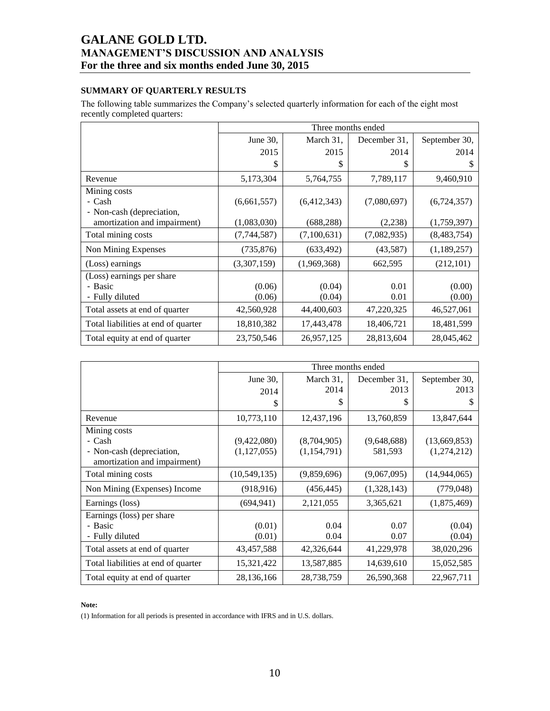## **SUMMARY OF QUARTERLY RESULTS**

The following table summarizes the Company's selected quarterly information for each of the eight most recently completed quarters:

|                                     |             |             | Three months ended |               |
|-------------------------------------|-------------|-------------|--------------------|---------------|
|                                     | June $30$ , | March 31,   | December 31.       | September 30, |
|                                     | 2015        | 2015        | 2014               | 2014          |
|                                     | \$          | S           | \$                 | S             |
| Revenue                             | 5,173,304   | 5,764,755   | 7,789,117          | 9,460,910     |
| Mining costs                        |             |             |                    |               |
| - Cash                              | (6,661,557) | (6,412,343) | (7,080,697)        | (6,724,357)   |
| - Non-cash (depreciation,           |             |             |                    |               |
| amortization and impairment)        | (1,083,030) | (688, 288)  | (2,238)            | (1,759,397)   |
| Total mining costs                  | (7,744,587) | (7,100,631) | (7,082,935)        | (8,483,754)   |
| Non Mining Expenses                 | (735, 876)  | (633, 492)  | (43,587)           | (1,189,257)   |
| (Loss) earnings                     | (3,307,159) | (1,969,368) | 662,595            | (212, 101)    |
| (Loss) earnings per share           |             |             |                    |               |
| - Basic                             | (0.06)      | (0.04)      | 0.01               | (0.00)        |
| - Fully diluted                     | (0.06)      | (0.04)      | 0.01               | (0.00)        |
| Total assets at end of quarter      | 42,560,928  | 44,400,603  | 47,220,325         | 46,527,061    |
| Total liabilities at end of quarter | 18,810,382  | 17,443,478  | 18,406,721         | 18,481,599    |
| Total equity at end of quarter      | 23,750,546  | 26,957,125  | 28,813,604         | 28,045,462    |

|                                     | Three months ended |                   |                      |                       |  |  |  |  |
|-------------------------------------|--------------------|-------------------|----------------------|-----------------------|--|--|--|--|
|                                     | June 30,<br>2014   | March 31,<br>2014 | December 31.<br>2013 | September 30,<br>2013 |  |  |  |  |
|                                     | \$                 | \$                | \$                   | \$                    |  |  |  |  |
| Revenue                             | 10,773,110         | 12,437,196        | 13,760,859           | 13,847,644            |  |  |  |  |
| Mining costs                        |                    |                   |                      |                       |  |  |  |  |
| - Cash                              | (9,422,080)        | (8,704,905)       | (9,648,688)          | (13,669,853)          |  |  |  |  |
| - Non-cash (depreciation,           | (1, 127, 055)      | (1,154,791)       | 581,593              | (1,274,212)           |  |  |  |  |
| amortization and impairment)        |                    |                   |                      |                       |  |  |  |  |
| Total mining costs                  | (10, 549, 135)     | (9,859,696)       | (9,067,095)          | (14, 944, 065)        |  |  |  |  |
| Non Mining (Expenses) Income        | (918, 916)         | (456, 445)        | (1,328,143)          | (779, 048)            |  |  |  |  |
| Earnings (loss)                     | (694, 941)         | 2,121,055         | 3,365,621            | (1,875,469)           |  |  |  |  |
| Earnings (loss) per share           |                    |                   |                      |                       |  |  |  |  |
| - Basic                             | (0.01)             | 0.04              | 0.07                 | (0.04)                |  |  |  |  |
| - Fully diluted                     | (0.01)             | 0.04              | 0.07                 | (0.04)                |  |  |  |  |
| Total assets at end of quarter      | 43,457,588         | 42,326,644        | 41,229,978           | 38,020,296            |  |  |  |  |
| Total liabilities at end of quarter | 15,321,422         | 13,587,885        | 14,639,610           | 15,052,585            |  |  |  |  |
| Total equity at end of quarter      | 28,136,166         | 28,738,759        | 26,590,368           | 22,967,711            |  |  |  |  |

### **Note:**

(1) Information for all periods is presented in accordance with IFRS and in U.S. dollars.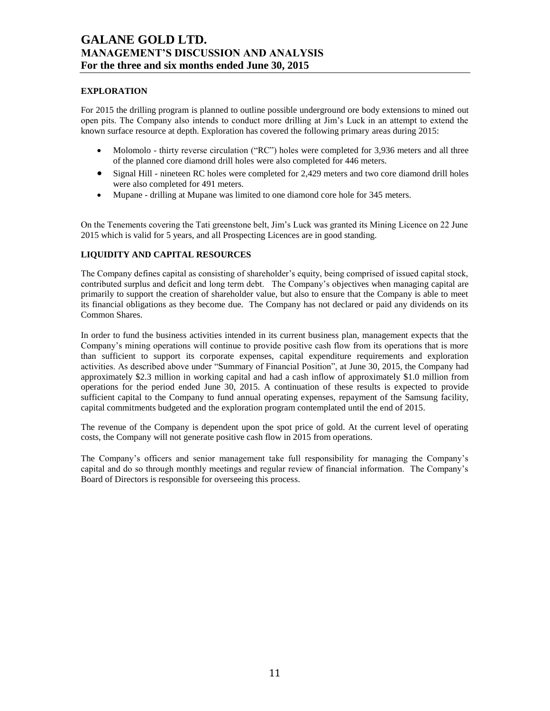## **EXPLORATION**

For 2015 the drilling program is planned to outline possible underground ore body extensions to mined out open pits. The Company also intends to conduct more drilling at Jim's Luck in an attempt to extend the known surface resource at depth. Exploration has covered the following primary areas during 2015:

- Molomolo thirty reverse circulation ("RC") holes were completed for 3,936 meters and all three of the planned core diamond drill holes were also completed for 446 meters.
- Signal Hill nineteen RC holes were completed for 2,429 meters and two core diamond drill holes were also completed for 491 meters.
- Mupane drilling at Mupane was limited to one diamond core hole for 345 meters.

On the Tenements covering the Tati greenstone belt, Jim's Luck was granted its Mining Licence on 22 June 2015 which is valid for 5 years, and all Prospecting Licences are in good standing.

## **LIQUIDITY AND CAPITAL RESOURCES**

The Company defines capital as consisting of shareholder's equity, being comprised of issued capital stock, contributed surplus and deficit and long term debt. The Company's objectives when managing capital are primarily to support the creation of shareholder value, but also to ensure that the Company is able to meet its financial obligations as they become due. The Company has not declared or paid any dividends on its Common Shares.

In order to fund the business activities intended in its current business plan, management expects that the Company's mining operations will continue to provide positive cash flow from its operations that is more than sufficient to support its corporate expenses, capital expenditure requirements and exploration activities. As described above under "Summary of Financial Position", at June 30, 2015, the Company had approximately \$2.3 million in working capital and had a cash inflow of approximately \$1.0 million from operations for the period ended June 30, 2015. A continuation of these results is expected to provide sufficient capital to the Company to fund annual operating expenses, repayment of the Samsung facility, capital commitments budgeted and the exploration program contemplated until the end of 2015.

The revenue of the Company is dependent upon the spot price of gold. At the current level of operating costs, the Company will not generate positive cash flow in 2015 from operations.

The Company's officers and senior management take full responsibility for managing the Company's capital and do so through monthly meetings and regular review of financial information. The Company's Board of Directors is responsible for overseeing this process.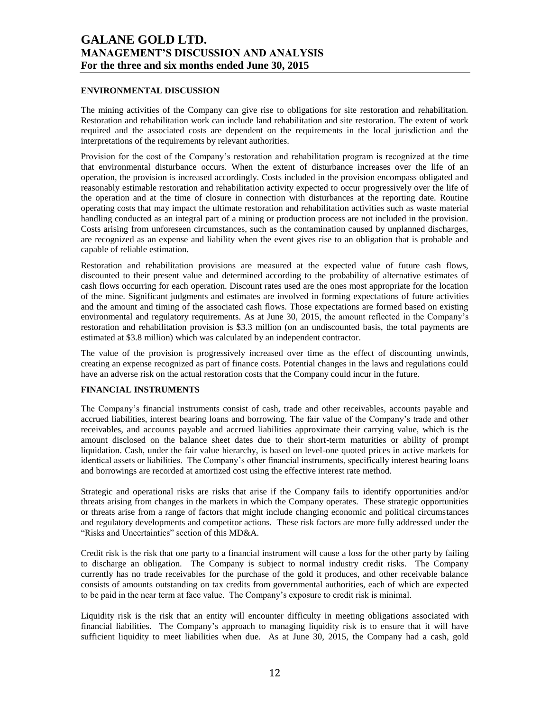## **ENVIRONMENTAL DISCUSSION**

The mining activities of the Company can give rise to obligations for site restoration and rehabilitation. Restoration and rehabilitation work can include land rehabilitation and site restoration. The extent of work required and the associated costs are dependent on the requirements in the local jurisdiction and the interpretations of the requirements by relevant authorities.

Provision for the cost of the Company's restoration and rehabilitation program is recognized at the time that environmental disturbance occurs. When the extent of disturbance increases over the life of an operation, the provision is increased accordingly. Costs included in the provision encompass obligated and reasonably estimable restoration and rehabilitation activity expected to occur progressively over the life of the operation and at the time of closure in connection with disturbances at the reporting date. Routine operating costs that may impact the ultimate restoration and rehabilitation activities such as waste material handling conducted as an integral part of a mining or production process are not included in the provision. Costs arising from unforeseen circumstances, such as the contamination caused by unplanned discharges, are recognized as an expense and liability when the event gives rise to an obligation that is probable and capable of reliable estimation.

Restoration and rehabilitation provisions are measured at the expected value of future cash flows, discounted to their present value and determined according to the probability of alternative estimates of cash flows occurring for each operation. Discount rates used are the ones most appropriate for the location of the mine. Significant judgments and estimates are involved in forming expectations of future activities and the amount and timing of the associated cash flows. Those expectations are formed based on existing environmental and regulatory requirements. As at June 30, 2015, the amount reflected in the Company's restoration and rehabilitation provision is \$3.3 million (on an undiscounted basis, the total payments are estimated at \$3.8 million) which was calculated by an independent contractor.

The value of the provision is progressively increased over time as the effect of discounting unwinds, creating an expense recognized as part of finance costs. Potential changes in the laws and regulations could have an adverse risk on the actual restoration costs that the Company could incur in the future.

## **FINANCIAL INSTRUMENTS**

The Company's financial instruments consist of cash, trade and other receivables, accounts payable and accrued liabilities, interest bearing loans and borrowing. The fair value of the Company's trade and other receivables, and accounts payable and accrued liabilities approximate their carrying value, which is the amount disclosed on the balance sheet dates due to their short-term maturities or ability of prompt liquidation. Cash, under the fair value hierarchy, is based on level-one quoted prices in active markets for identical assets or liabilities. The Company's other financial instruments, specifically interest bearing loans and borrowings are recorded at amortized cost using the effective interest rate method.

Strategic and operational risks are risks that arise if the Company fails to identify opportunities and/or threats arising from changes in the markets in which the Company operates. These strategic opportunities or threats arise from a range of factors that might include changing economic and political circumstances and regulatory developments and competitor actions. These risk factors are more fully addressed under the "Risks and Uncertainties" section of this MD&A.

Credit risk is the risk that one party to a financial instrument will cause a loss for the other party by failing to discharge an obligation. The Company is subject to normal industry credit risks. The Company currently has no trade receivables for the purchase of the gold it produces, and other receivable balance consists of amounts outstanding on tax credits from governmental authorities, each of which are expected to be paid in the near term at face value. The Company's exposure to credit risk is minimal.

Liquidity risk is the risk that an entity will encounter difficulty in meeting obligations associated with financial liabilities. The Company's approach to managing liquidity risk is to ensure that it will have sufficient liquidity to meet liabilities when due. As at June 30, 2015, the Company had a cash, gold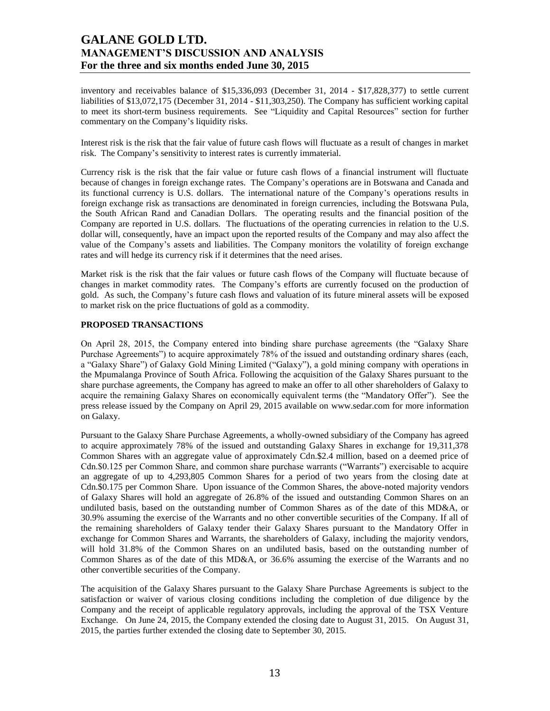inventory and receivables balance of \$15,336,093 (December 31, 2014 - \$17,828,377) to settle current liabilities of \$13,072,175 (December 31, 2014 - \$11,303,250). The Company has sufficient working capital to meet its short-term business requirements. See "Liquidity and Capital Resources" section for further commentary on the Company's liquidity risks.

Interest risk is the risk that the fair value of future cash flows will fluctuate as a result of changes in market risk. The Company's sensitivity to interest rates is currently immaterial.

Currency risk is the risk that the fair value or future cash flows of a financial instrument will fluctuate because of changes in foreign exchange rates. The Company's operations are in Botswana and Canada and its functional currency is U.S. dollars. The international nature of the Company's operations results in foreign exchange risk as transactions are denominated in foreign currencies, including the Botswana Pula, the South African Rand and Canadian Dollars. The operating results and the financial position of the Company are reported in U.S. dollars. The fluctuations of the operating currencies in relation to the U.S. dollar will, consequently, have an impact upon the reported results of the Company and may also affect the value of the Company's assets and liabilities. The Company monitors the volatility of foreign exchange rates and will hedge its currency risk if it determines that the need arises.

Market risk is the risk that the fair values or future cash flows of the Company will fluctuate because of changes in market commodity rates. The Company's efforts are currently focused on the production of gold. As such, the Company's future cash flows and valuation of its future mineral assets will be exposed to market risk on the price fluctuations of gold as a commodity.

## **PROPOSED TRANSACTIONS**

On April 28, 2015, the Company entered into binding share purchase agreements (the "Galaxy Share Purchase Agreements") to acquire approximately 78% of the issued and outstanding ordinary shares (each, a "Galaxy Share") of Galaxy Gold Mining Limited ("Galaxy"), a gold mining company with operations in the Mpumalanga Province of South Africa. Following the acquisition of the Galaxy Shares pursuant to the share purchase agreements, the Company has agreed to make an offer to all other shareholders of Galaxy to acquire the remaining Galaxy Shares on economically equivalent terms (the "Mandatory Offer"). See the press release issued by the Company on April 29, 2015 available on [www.sedar.com](http://www.sedar.com/) for more information on Galaxy.

Pursuant to the Galaxy Share Purchase Agreements, a wholly-owned subsidiary of the Company has agreed to acquire approximately 78% of the issued and outstanding Galaxy Shares in exchange for 19,311,378 Common Shares with an aggregate value of approximately Cdn.\$2.4 million, based on a deemed price of Cdn.\$0.125 per Common Share, and common share purchase warrants ("Warrants") exercisable to acquire an aggregate of up to 4,293,805 Common Shares for a period of two years from the closing date at Cdn.\$0.175 per Common Share. Upon issuance of the Common Shares, the above-noted majority vendors of Galaxy Shares will hold an aggregate of 26.8% of the issued and outstanding Common Shares on an undiluted basis, based on the outstanding number of Common Shares as of the date of this MD&A, or 30.9% assuming the exercise of the Warrants and no other convertible securities of the Company. If all of the remaining shareholders of Galaxy tender their Galaxy Shares pursuant to the Mandatory Offer in exchange for Common Shares and Warrants, the shareholders of Galaxy, including the majority vendors, will hold 31.8% of the Common Shares on an undiluted basis, based on the outstanding number of Common Shares as of the date of this MD&A, or 36.6% assuming the exercise of the Warrants and no other convertible securities of the Company.

The acquisition of the Galaxy Shares pursuant to the Galaxy Share Purchase Agreements is subject to the satisfaction or waiver of various closing conditions including the completion of due diligence by the Company and the receipt of applicable regulatory approvals, including the approval of the TSX Venture Exchange. On June 24, 2015, the Company extended the closing date to August 31, 2015. On August 31, 2015, the parties further extended the closing date to September 30, 2015.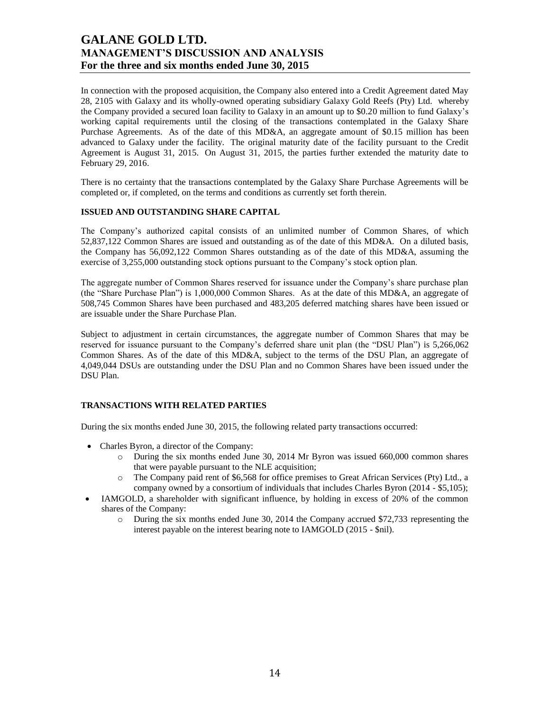In connection with the proposed acquisition, the Company also entered into a Credit Agreement dated May 28, 2105 with Galaxy and its wholly-owned operating subsidiary Galaxy Gold Reefs (Pty) Ltd. whereby the Company provided a secured loan facility to Galaxy in an amount up to \$0.20 million to fund Galaxy's working capital requirements until the closing of the transactions contemplated in the Galaxy Share Purchase Agreements. As of the date of this MD&A, an aggregate amount of \$0.15 million has been advanced to Galaxy under the facility. The original maturity date of the facility pursuant to the Credit Agreement is August 31, 2015. On August 31, 2015, the parties further extended the maturity date to February 29, 2016.

There is no certainty that the transactions contemplated by the Galaxy Share Purchase Agreements will be completed or, if completed, on the terms and conditions as currently set forth therein.

## **ISSUED AND OUTSTANDING SHARE CAPITAL**

The Company's authorized capital consists of an unlimited number of Common Shares, of which 52,837,122 Common Shares are issued and outstanding as of the date of this MD&A. On a diluted basis, the Company has 56,092,122 Common Shares outstanding as of the date of this MD&A, assuming the exercise of 3,255,000 outstanding stock options pursuant to the Company's stock option plan.

The aggregate number of Common Shares reserved for issuance under the Company's share purchase plan (the "Share Purchase Plan") is 1,000,000 Common Shares. As at the date of this MD&A, an aggregate of 508,745 Common Shares have been purchased and 483,205 deferred matching shares have been issued or are issuable under the Share Purchase Plan.

Subject to adjustment in certain circumstances, the aggregate number of Common Shares that may be reserved for issuance pursuant to the Company's deferred share unit plan (the "DSU Plan") is 5,266,062 Common Shares. As of the date of this MD&A, subject to the terms of the DSU Plan, an aggregate of 4,049,044 DSUs are outstanding under the DSU Plan and no Common Shares have been issued under the DSU Plan.

### **TRANSACTIONS WITH RELATED PARTIES**

During the six months ended June 30, 2015, the following related party transactions occurred:

- Charles Byron, a director of the Company:
	- o During the six months ended June 30, 2014 Mr Byron was issued 660,000 common shares that were payable pursuant to the NLE acquisition;
	- o The Company paid rent of \$6,568 for office premises to Great African Services (Pty) Ltd., a company owned by a consortium of individuals that includes Charles Byron (2014 - \$5,105);
- IAMGOLD, a shareholder with significant influence, by holding in excess of 20% of the common shares of the Company:
	- o During the six months ended June 30, 2014 the Company accrued \$72,733 representing the interest payable on the interest bearing note to IAMGOLD (2015 - \$nil).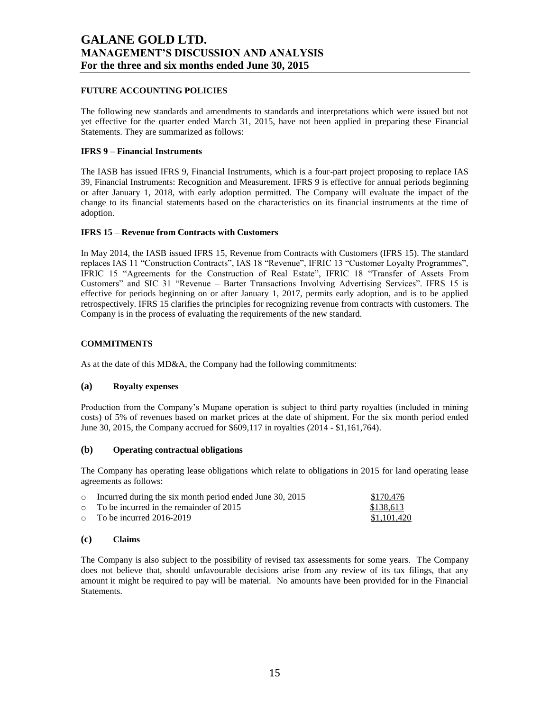## **FUTURE ACCOUNTING POLICIES**

The following new standards and amendments to standards and interpretations which were issued but not yet effective for the quarter ended March 31, 2015, have not been applied in preparing these Financial Statements. They are summarized as follows:

## **IFRS 9 – Financial Instruments**

The IASB has issued IFRS 9, Financial Instruments, which is a four-part project proposing to replace IAS 39, Financial Instruments: Recognition and Measurement. IFRS 9 is effective for annual periods beginning or after January 1, 2018, with early adoption permitted. The Company will evaluate the impact of the change to its financial statements based on the characteristics on its financial instruments at the time of adoption.

## **IFRS 15 – Revenue from Contracts with Customers**

In May 2014, the IASB issued IFRS 15, Revenue from Contracts with Customers (IFRS 15). The standard replaces IAS 11 "Construction Contracts", IAS 18 "Revenue", IFRIC 13 "Customer Loyalty Programmes", IFRIC 15 "Agreements for the Construction of Real Estate", IFRIC 18 "Transfer of Assets From Customers" and SIC 31 "Revenue – Barter Transactions Involving Advertising Services". IFRS 15 is effective for periods beginning on or after January 1, 2017, permits early adoption, and is to be applied retrospectively. IFRS 15 clarifies the principles for recognizing revenue from contracts with customers. The Company is in the process of evaluating the requirements of the new standard.

## **COMMITMENTS**

As at the date of this MD&A, the Company had the following commitments:

### **(a) Royalty expenses**

Production from the Company's Mupane operation is subject to third party royalties (included in mining costs) of 5% of revenues based on market prices at the date of shipment. For the six month period ended June 30, 2015, the Company accrued for \$609,117 in royalties (2014 - \$1,161,764).

### **(b) Operating contractual obligations**

The Company has operating lease obligations which relate to obligations in 2015 for land operating lease agreements as follows:

| $\circ$ Incurred during the six month period ended June 30, 2015 | \$170.476   |
|------------------------------------------------------------------|-------------|
| $\circ$ To be incurred in the remainder of 2015                  | \$138.613   |
| $\circ$ To be incurred 2016-2019                                 | \$1.101.420 |

## **(c) Claims**

The Company is also subject to the possibility of revised tax assessments for some years. The Company does not believe that, should unfavourable decisions arise from any review of its tax filings, that any amount it might be required to pay will be material. No amounts have been provided for in the Financial Statements.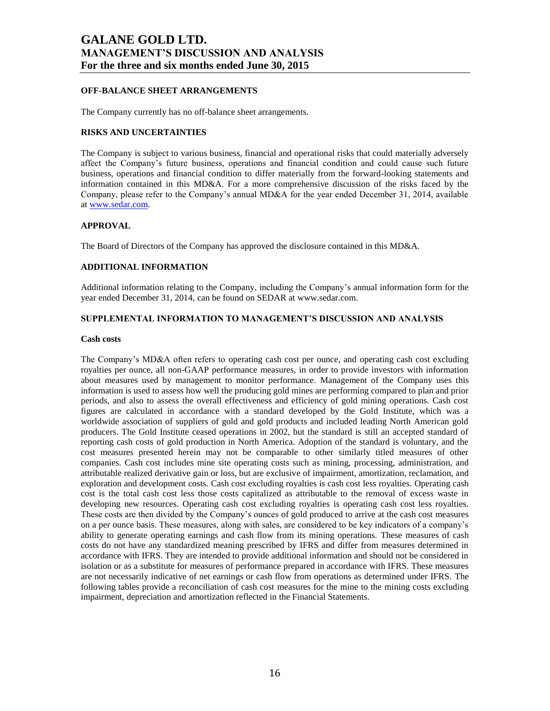## **OFF-BALANCE SHEET ARRANGEMENTS**

The Company currently has no off-balance sheet arrangements.

### **RISKS AND UNCERTAINTIES**

The Company is subject to various business, financial and operational risks that could materially adversely affect the Company's future business, operations and financial condition and could cause such future business, operations and financial condition to differ materially from the forward-looking statements and information contained in this MD&A. For a more comprehensive discussion of the risks faced by the Company, please refer to the Company's annual MD&A for the year ended December 31, 2014, available a[t www.sedar.com.](http://www.sedar.com/)

#### **APPROVAL**

The Board of Directors of the Company has approved the disclosure contained in this MD&A.

### **ADDITIONAL INFORMATION**

Additional information relating to the Company, including the Company's annual information form for the year ended December 31, 2014, can be found on SEDAR at www.sedar.com.

### **SUPPLEMENTAL INFORMATION TO MANAGEMENT'S DISCUSSION AND ANALYSIS**

#### **Cash costs**

The Company's MD&A often refers to operating cash cost per ounce, and operating cash cost excluding royalties per ounce, all non-GAAP performance measures, in order to provide investors with information about measures used by management to monitor performance. Management of the Company uses this information is used to assess how well the producing gold mines are performing compared to plan and prior periods, and also to assess the overall effectiveness and efficiency of gold mining operations. Cash cost figures are calculated in accordance with a standard developed by the Gold Institute, which was a worldwide association of suppliers of gold and gold products and included leading North American gold producers. The Gold Institute ceased operations in 2002, but the standard is still an accepted standard of reporting cash costs of gold production in North America. Adoption of the standard is voluntary, and the cost measures presented herein may not be comparable to other similarly titled measures of other companies. Cash cost includes mine site operating costs such as mining, processing, administration, and attributable realized derivative gain or loss, but are exclusive of impairment, amortization, reclamation, and exploration and development costs. Cash cost excluding royalties is cash cost less royalties. Operating cash cost is the total cash cost less those costs capitalized as attributable to the removal of excess waste in developing new resources. Operating cash cost excluding royalties is operating cash cost less royalties. These costs are then divided by the Company's ounces of gold produced to arrive at the cash cost measures on a per ounce basis. These measures, along with sales, are considered to be key indicators of a company's ability to generate operating earnings and cash flow from its mining operations. These measures of cash costs do not have any standardized meaning prescribed by IFRS and differ from measures determined in accordance with IFRS. They are intended to provide additional information and should not be considered in isolation or as a substitute for measures of performance prepared in accordance with IFRS. These measures are not necessarily indicative of net earnings or cash flow from operations as determined under IFRS. The following tables provide a reconciliation of cash cost measures for the mine to the mining costs excluding impairment, depreciation and amortization reflected in the Financial Statements.